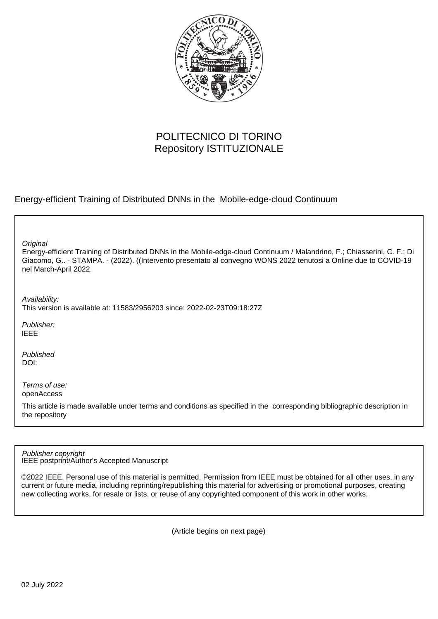

## POLITECNICO DI TORINO Repository ISTITUZIONALE

Energy-efficient Training of Distributed DNNs in the Mobile-edge-cloud Continuum

**Original** 

Energy-efficient Training of Distributed DNNs in the Mobile-edge-cloud Continuum / Malandrino, F.; Chiasserini, C. F.; Di Giacomo, G.. - STAMPA. - (2022). ((Intervento presentato al convegno WONS 2022 tenutosi a Online due to COVID-19 nel March-April 2022.

Availability:

This version is available at: 11583/2956203 since: 2022-02-23T09:18:27Z

Publisher: IEEE

Published DOI:

Terms of use: openAccess

This article is made available under terms and conditions as specified in the corresponding bibliographic description in the repository

IEEE postprint/Author's Accepted Manuscript Publisher copyright

©2022 IEEE. Personal use of this material is permitted. Permission from IEEE must be obtained for all other uses, in any current or future media, including reprinting/republishing this material for advertising or promotional purposes, creating new collecting works, for resale or lists, or reuse of any copyrighted component of this work in other works.

(Article begins on next page)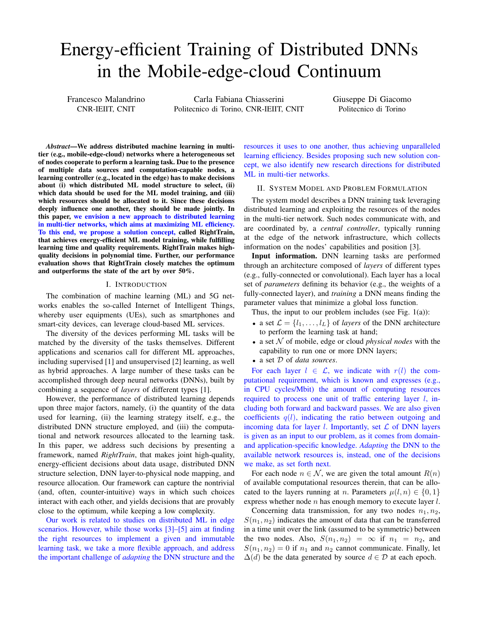# Energy-efficient Training of Distributed DNNs in the Mobile-edge-cloud Continuum

Francesco Malandrino CNR-IEIIT, CNIT

Carla Fabiana Chiasserini Politecnico di Torino, CNR-IEIIT, CNIT Giuseppe Di Giacomo Politecnico di Torino

*Abstract*—We address distributed machine learning in multitier (e.g., mobile-edge-cloud) networks where a heterogeneous set of nodes cooperate to perform a learning task. Due to the presence of multiple data sources and computation-capable nodes, a learning controller (e.g., located in the edge) has to make decisions about (i) which distributed ML model structure to select, (ii) which data should be used for the ML model training, and (iii) which resources should be allocated to it. Since these decisions deeply influence one another, they should be made jointly. In this paper, we envision a new approach to distributed learning in multi-tier networks, which aims at maximizing ML efficiency. To this end, we propose a solution concept, called RightTrain, that achieves energy-efficient ML model training, while fulfilling learning time and quality requirements. RightTrain makes highquality decisions in polynomial time. Further, our performance evaluation shows that RightTrain closely matches the optimum and outperforms the state of the art by over 50%.

#### I. INTRODUCTION

The combination of machine learning (ML) and 5G networks enables the so-called Internet of Intelligent Things, whereby user equipments (UEs), such as smartphones and smart-city devices, can leverage cloud-based ML services.

The diversity of the devices performing ML tasks will be matched by the diversity of the tasks themselves. Different applications and scenarios call for different ML approaches, including supervised [1] and unsupervised [2] learning, as well as hybrid approaches. A large number of these tasks can be accomplished through deep neural networks (DNNs), built by combining a sequence of *layers* of different types [1].

However, the performance of distributed learning depends upon three major factors, namely, (i) the quantity of the data used for learning, (ii) the learning strategy itself, e.g., the distributed DNN structure employed, and (iii) the computational and network resources allocated to the learning task. In this paper, we address such decisions by presenting a framework, named *RightTrain*, that makes joint high-quality, energy-efficient decisions about data usage, distributed DNN structure selection, DNN layer-to-physical node mapping, and resource allocation. Our framework can capture the nontrivial (and, often, counter-intuitive) ways in which such choices interact with each other, and yields decisions that are provably close to the optimum, while keeping a low complexity.

Our work is related to studies on distributed ML in edge scenarios. However, while those works [3]–[5] aim at finding the right resources to implement a given and immutable learning task, we take a more flexible approach, and address the important challenge of *adapting* the DNN structure and the resources it uses to one another, thus achieving unparalleled learning efficiency. Besides proposing such new solution concept, we also identify new research directions for distributed ML in multi-tier networks.

#### II. SYSTEM MODEL AND PROBLEM FORMULATION

The system model describes a DNN training task leveraging distributed learning and exploiting the resources of the nodes in the multi-tier network. Such nodes communicate with, and are coordinated by, a *central controller*, typically running at the edge of the network infrastructure, which collects information on the nodes' capabilities and position [3].

Input information. DNN learning tasks are performed through an architecture composed of *layers* of different types (e.g., fully-connected or convolutional). Each layer has a local set of *parameters* defining its behavior (e.g., the weights of a fully-connected layer), and *training* a DNN means finding the parameter values that minimize a global loss function.

Thus, the input to our problem includes (see Fig.  $1(a)$ ):

- a set  $\mathcal{L} = \{l_1, \ldots, l_L\}$  of *layers* of the DNN architecture to perform the learning task at hand;
- a set  $N$  of mobile, edge or cloud *physical nodes* with the capability to run one or more DNN layers;
- a set D of *data sources*.

For each layer  $l \in \mathcal{L}$ , we indicate with  $r(l)$  the computational requirement, which is known and expresses (e.g., in CPU cycles/Mbit) the amount of computing resources required to process one unit of traffic entering layer  $l$ , including both forward and backward passes. We are also given coefficients  $q(l)$ , indicating the ratio between outgoing and incoming data for layer l. Importantly, set  $\mathcal L$  of DNN layers is given as an input to our problem, as it comes from domainand application-specific knowledge. *Adapting* the DNN to the available network resources is, instead, one of the decisions we make, as set forth next.

For each node  $n \in \mathcal{N}$ , we are given the total amount  $R(n)$ of available computational resources therein, that can be allocated to the layers running at *n*. Parameters  $\mu(l, n) \in \{0, 1\}$ express whether node n has enough memory to execute layer l.

Concerning data transmission, for any two nodes  $n_1, n_2$ ,  $S(n_1, n_2)$  indicates the amount of data that can be transferred in a time unit over the link (assumed to be symmetric) between the two nodes. Also,  $S(n_1, n_2) = \infty$  if  $n_1 = n_2$ , and  $S(n_1, n_2) = 0$  if  $n_1$  and  $n_2$  cannot communicate. Finally, let  $\Delta(d)$  be the data generated by source  $d \in \mathcal{D}$  at each epoch.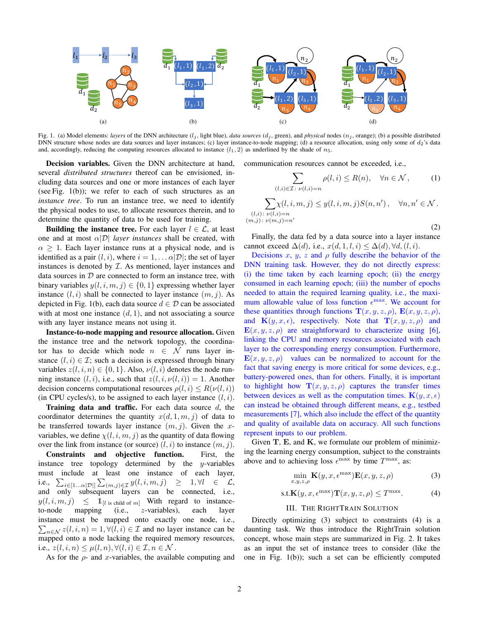

Fig. 1. (a) Model elements: *layers* of the DNN architecture  $(l_j,$  light blue), *data sources*  $(d_j,$  green), and *physical* nodes  $(n_j,$  orange); (b) a possible distributed DNN structure whose nodes are data sources and layer instances; (c) layer instance-to-node mapping; (d) a resource allocation, using only some of  $d_2$ 's data and, accordingly, reducing the computing resources allocated to instance  $(l_1, 2)$  as underlined by the shade of  $n_5$ .

Decision variables. Given the DNN architecture at hand, several *distributed structures* thereof can be envisioned, including data sources and one or more instances of each layer (see Fig. 1(b)); we refer to each of such structures as an *instance tree*. To run an instance tree, we need to identify the physical nodes to use, to allocate resources therein, and to determine the quantity of data to be used for training.

Building the instance tree. For each layer  $l \in \mathcal{L}$ , at least one and at most  $\alpha |D|$  *layer instances* shall be created, with  $\alpha \geq 1$ . Each layer instance runs at a physical node, and is identified as a pair  $(l, i)$ , where  $i = 1, \dots \alpha | \mathcal{D} |$ ; the set of layer instances is denoted by  $I$ . As mentioned, layer instances and data sources in  $D$  are connected to form an instance tree, with binary variables  $y(l, i, m, j) \in \{0, 1\}$  expressing whether layer instance  $(l, i)$  shall be connected to layer instance  $(m, j)$ . As depicted in Fig. 1(b), each data source  $d \in \mathcal{D}$  can be associated with at most one instance  $(d, 1)$ , and not associating a source with any layer instance means not using it.

Instance-to-node mapping and resource allocation. Given the instance tree and the network topology, the coordinator has to decide which node  $n \in \mathcal{N}$  runs layer instance  $(l, i) \in \mathcal{I}$ ; such a decision is expressed through binary variables  $z(l, i, n) \in \{0, 1\}$ . Also,  $\nu(l, i)$  denotes the node running instance  $(l, i)$ , i.e., such that  $z(l, i, \nu(l, i)) = 1$ . Another decision concerns computational resources  $\rho(l, i) \leq R(\nu(l, i))$ (in CPU cycles/s), to be assigned to each layer instance  $(l, i)$ .

Training data and traffic. For each data source  $d$ , the coordinator determines the quantity  $x(d, 1, m, i)$  of data to be transferred towards layer instance  $(m, j)$ . Given the xvariables, we define  $\chi(l, i, m, j)$  as the quantity of data flowing over the link from instance (or source)  $(l, i)$  to instance  $(m, j)$ .

Constraints and objective function. First, the instance tree topology determined by the y-variables must include at least one instance of each layer, i.e.,  $\sum_{i\in [1...\alpha|\mathcal{D}|]} \sum_{(m,j)\in \mathcal{I}} y(l,i,m,j) \geq 1, \forall l \in \mathcal{L}$ , and only subsequent layers can be connected, i.e.,  $y(l, i, m, j) \leq 1_{[l \text{ is child of } m]}$  With regard to instanceto-node mapping (i.e., z-variables), each layer instance must be mapped onto exactly one node, i.e.,  $\sum_{n \in \mathcal{N}} z(l, i, n) = 1, \forall (l, i) \in \mathcal{I}$  and no layer instance can be mapped onto a node lacking the required memory resources, i.e.,  $z(l, i, n) \leq \mu(l, n), \forall (l, i) \in \mathcal{I}, n \in \mathcal{N}$ .

As for the  $\rho$ - and x-variables, the available computing and

communication resources cannot be exceeded, i.e.,

$$
\sum_{(l,i)\in\mathcal{I}:\ \nu(l,i)=n}\rho(l,i)\leq R(n),\quad\forall n\in\mathcal{N},\qquad(1)
$$

$$
\sum_{\substack{(l,i):\ \nu(l,i)=n\\(m,j):\ \nu(m,j)=n'}} \chi(l,i,m,j) \leq y(l,i,m,j)S(n,n'), \quad \forall n,n' \in \mathcal{N}.
$$
\n(2)

Finally, the data fed by a data source into a layer instance cannot exceed  $\Delta(d)$ , i.e.,  $x(d, 1, l, i) \leq \Delta(d)$ ,  $\forall d, (l, i)$ .

Decisions x, y, z and  $\rho$  fully describe the behavior of the DNN training task. However, they do not directly express: (i) the time taken by each learning epoch; (ii) the energy consumed in each learning epoch; (iii) the number of epochs needed to attain the required learning quality, i.e., the maximum allowable value of loss function  $\epsilon^{\text{max}}$ . We account for these quantities through functions  $\mathbf{T}(x, y, z, \rho)$ ,  $\mathbf{E}(x, y, z, \rho)$ , and  $\mathbf{K}(y, x, \epsilon)$ , respectively. Note that  $\mathbf{T}(x, y, z, \rho)$  and  $\mathbf{E}(x, y, z, \rho)$  are straightforward to characterize using [6], linking the CPU and memory resources associated with each layer to the corresponding energy consumption. Furthermore,  $E(x, y, z, \rho)$  values can be normalized to account for the fact that saving energy is more critical for some devices, e.g., battery-powered ones, than for others. Finally, it is important to highlight how  $\mathbf{T}(x, y, z, \rho)$  captures the transfer times between devices as well as the computation times.  $\mathbf{K}(y, x, \epsilon)$ can instead be obtained through different means, e.g., testbed measurements [7], which also include the effect of the quantity and quality of available data on accuracy. All such functions represent inputs to our problem.

Given  $T$ ,  $E$ , and  $K$ , we formulate our problem of minimizing the learning energy consumption, subject to the constraints above and to achieving loss  $\epsilon^{\text{max}}$  by time  $T^{\text{max}}$ , as:

$$
\min_{x,y,z,\rho} \mathbf{K}(y,x,\epsilon^{\max})\mathbf{E}(x,y,z,\rho) \tag{3}
$$

$$
\text{s.t.}\mathbf{K}(y,x,\epsilon^{\max})\mathbf{T}(x,y,z,\rho)\leq T^{\max}.\tag{4}
$$

### III. THE RIGHTTRAIN SOLUTION

Directly optimizing (3) subject to constraints (4) is a daunting task. We thus introduce the RightTrain solution concept, whose main steps are summarized in Fig. 2. It takes as an input the set of instance trees to consider (like the one in Fig. 1(b)); such a set can be efficiently computed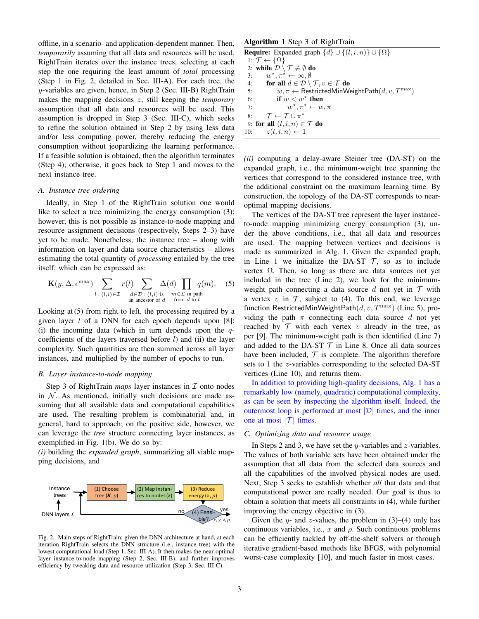offline, in a scenario- and application-dependent manner. Then, *temporarily* assuming that all data and resources will be used, RightTrain iterates over the instance trees, selecting at each step the one requiring the least amount of *total* processing (Step 1 in Fig. 2, detailed in Sec. III-A). For each tree, the y-variables are given, hence, in Step 2 (Sec. III-B) RightTrain makes the mapping decisions z, still keeping the *temporary* assumption that all data and resources will be used. This assumption is dropped in Step 3 (Sec. III-C), which seeks to refine the solution obtained in Step 2 by using less data and/or less computing power, thereby reducing the energy consumption without jeopardizing the learning performance. If a feasible solution is obtained, then the algorithm terminates (Step 4); otherwise, it goes back to Step 1 and moves to the next instance tree.

#### *A. Instance tree ordering*

Ideally, in Step 1 of the RightTrain solution one would like to select a tree minimizing the energy consumption (3); however, this is not possible as instance-to-node mapping and resource assignment decisions (respectively, Steps 2–3) have yet to be made. Nonetheless, the instance tree – along with information on layer and data source characteristics – allows estimating the total quantity of *processing* entailed by the tree itself, which can be expressed as:

$$
\mathbf{K}(y, \Delta, \epsilon^{\max}) \sum_{l \colon (l,i) \in \mathcal{I}} r(l) \sum_{d \in \mathcal{D} \colon (l,i) \text{ is } \substack{m \in \mathcal{L} \text{ in path} \\ \text{an ancestor of } d}} \Delta(d) \prod_{m \in \mathcal{L} \text{ in path}} q(m). \tag{5}
$$

Looking at (5) from right to left, the processing required by a given layer  $l$  of a DNN for each epoch depends upon [8]: (i) the incoming data (which in turn depends upon the  $q$ coefficients of the layers traversed before  $l$ ) and (ii) the layer complexity. Such quantities are then summed across all layer instances, and multiplied by the number of epochs to run.

#### *B. Layer instance-to-node mapping*

Step 3 of RightTrain *maps* layer instances in  $\mathcal I$  onto nodes in  $N$ . As mentioned, initially such decisions are made assuming that all available data and computational capabilities are used. The resulting problem is combinatorial and, in general, hard to approach; on the positive side, however, we can leverage the *tree* structure connecting layer instances, as exemplified in Fig. 1(b). We do so by:

*(i)* building the *expanded graph*, summarizing all viable mapping decisions, and



Fig. 2. Main steps of RightTrain: given the DNN architecture at hand, at each iteration RightTrain selects the DNN structure (i.e., instance tree) with the lowest computational load (Step 1, Sec. III-A). It then makes the near-optimal layer instance-to-node mapping (Step 2, Sec. III-B), and further improves efficiency by tweaking data and resource utilization (Step 3, Sec. III-C).

| <b>Algorithm 1</b> Step 3 of RightTrain                                       |
|-------------------------------------------------------------------------------|
| <b>Require:</b> Expanded graph $\{d\} \cup \{(l, i, n)\} \cup \{\Omega\}$     |
| 1: $\mathcal{T} \leftarrow {\Omega}$                                          |
| 2: while $\mathcal{D} \setminus \mathcal{T} \not\equiv \emptyset$ do          |
| 3: $w^*, \pi^* \leftarrow \infty, \emptyset$                                  |
| for all $d \in \mathcal{D} \setminus \mathcal{T}, v \in \mathcal{T}$ do<br>4: |
| $w, \pi \leftarrow$ RestrictedMinWeightPath $(d, v, T^{\max})$<br>5:          |
| if $w < w^*$ then<br>6:                                                       |
| $w^*, \pi^* \leftarrow w, \pi$<br>7:                                          |
| $\mathcal{T} \leftarrow \mathcal{T} \cup \pi^{\star}$<br>8:                   |
| 9: for all $(l, i, n) \in \mathcal{T}$ do                                     |
| 10: $z(l, i, n) \leftarrow 1$                                                 |

*(ii)* computing a delay-aware Steiner tree (DA-ST) on the expanded graph, i.e., the minimum-weight tree spanning the vertices that correspond to the considered instance tree, with the additional constraint on the maximum learning time. By construction, the topology of the DA-ST corresponds to nearoptimal mapping decisions.

The vertices of the DA-ST tree represent the layer instanceto-node mapping minimizing energy consumption (3), under the above conditions, i.e., that all data and resources are used. The mapping between vertices and decisions is made as summarized in Alg. 1. Given the expanded graph, in Line 1 we initialize the DA-ST  $\mathcal{T}$ , so as to include vertex  $\Omega$ . Then, so long as there are data sources not yet included in the tree (Line 2), we look for the minimumweight path connecting a data source d not yet in  $T$  with a vertex v in  $\mathcal{T}$ , subject to (4). To this end, we leverage function RestrictedMinWeightPath $(d, v, T^{\max})$  (Line 5), providing the path  $\pi$  connecting each data source d not yet reached by  $T$  with each vertex v already in the tree, as per [9]. The minimum-weight path is then identified (Line 7) and added to the DA-ST  $T$  in Line 8. Once all data sources have been included,  $T$  is complete. The algorithm therefore sets to 1 the z-variables corresponding to the selected DA-ST vertices (Line 10), and returns them.

In addition to providing high-quality decisions, Alg. 1 has a remarkably low (namely, quadratic) computational complexity, as can be seen by inspecting the algorithm itself. Indeed, the outermost loop is performed at most  $|\mathcal{D}|$  times, and the inner one at most  $|\mathcal{T}|$  times.

#### *C. Optimizing data and resource usage*

In Steps 2 and 3, we have set the y-variables and  $z$ -variables. The values of both variable sets have been obtained under the assumption that all data from the selected data sources and all the capabilities of the involved physical nodes are used. Next, Step 3 seeks to establish whether *all* that data and that computational power are really needed. Our goal is thus to obtain a solution that meets all constraints in (4), while further improving the energy objective in (3).

Given the y- and z-values, the problem in  $(3)$ – $(4)$  only has continuous variables, i.e., x and  $\rho$ . Such continuous problems can be efficiently tackled by off-the-shelf solvers or through iterative gradient-based methods like BFGS, with polynomial worst-case complexity [10], and much faster in most cases.